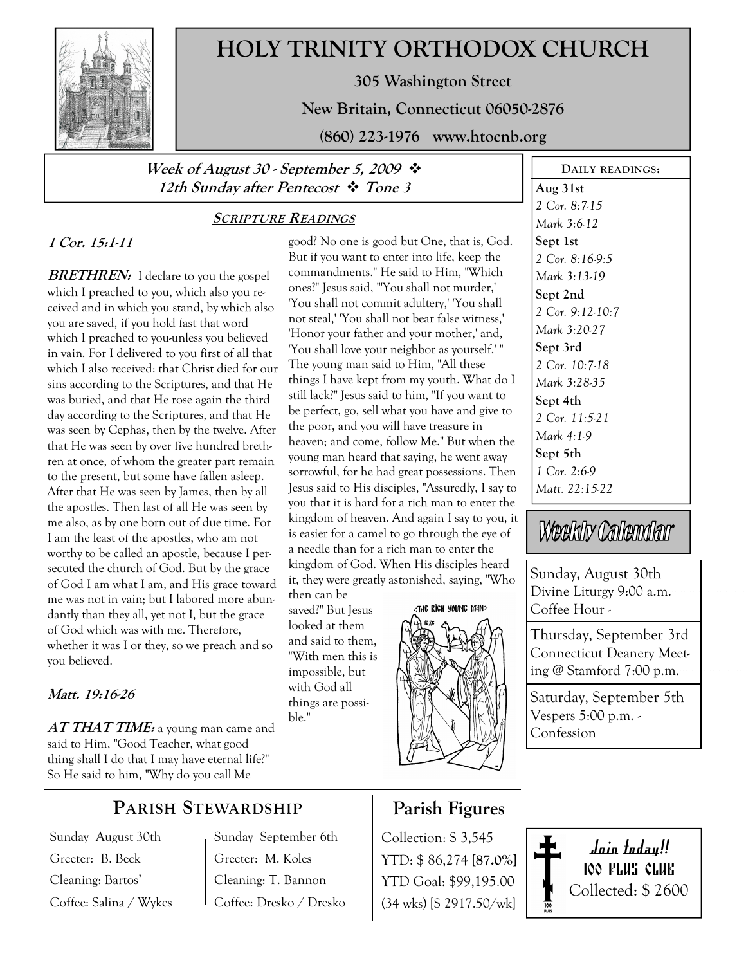

# HOLY TRINITY ORTHODOX CHURCH

305 Washington Street

New Britain, Connecticut 06050-2876

(860) 223-1976 www.htocnb.org

good? No one is good but One, that is, God. But if you want to enter into life, keep the commandments." He said to Him, "Which ones?" Jesus said, "'You shall not murder,' 'You shall not commit adultery,' 'You shall not steal,' 'You shall not bear false witness,' 'Honor your father and your mother,' and, 'You shall love your neighbor as yourself.' " The young man said to Him, "All these things I have kept from my youth. What do I still lack?" Jesus said to him, "If you want to be perfect, go, sell what you have and give to the poor, and you will have treasure in heaven; and come, follow Me." But when the young man heard that saying, he went away sorrowful, for he had great possessions. Then Jesus said to His disciples, "Assuredly, I say to you that it is hard for a rich man to enter the kingdom of heaven. And again I say to you, it is easier for a camel to go through the eye of a needle than for a rich man to enter the kingdom of God. When His disciples heard it, they were greatly astonished, saying, "Who

## Week of August 30 - September 5, 2009  $\cdot$ 12th Sunday after Pentecost  $\cdot \cdot$  Tone 3

### SCRIPTURE READINGS

# 1 Cor. 15:1-11

**BRETHREN:** I declare to you the gospel which I preached to you, which also you received and in which you stand, by which also you are saved, if you hold fast that word which I preached to you-unless you believed in vain. For I delivered to you first of all that which I also received: that Christ died for our sins according to the Scriptures, and that He was buried, and that He rose again the third day according to the Scriptures, and that He was seen by Cephas, then by the twelve. After that He was seen by over five hundred brethren at once, of whom the greater part remain to the present, but some have fallen asleep. After that He was seen by James, then by all the apostles. Then last of all He was seen by me also, as by one born out of due time. For I am the least of the apostles, who am not worthy to be called an apostle, because I persecuted the church of God. But by the grace of God I am what I am, and His grace toward me was not in vain; but I labored more abundantly than they all, yet not I, but the grace of God which was with me. Therefore, whether it was I or they, so we preach and so you believed.

#### Matt. 19:16-26

 $AT\mathit{THAT\mathit{TIME:}}$  a young man came and said to Him, "Good Teacher, what good thing shall I do that I may have eternal life?" So He said to him, "Why do you call Me

## PARISH STEWARDSHIP

Sunday August 30th Greeter: B. Beck Cleaning: Bartos' Coffee: Salina / Wykes Sunday September 6th Greeter: M. Koles Cleaning: T. Bannon Coffee: Dresko / Dresko

then can be saved?" But Jesus looked at them and said to them, "With men this is impossible, but with God all things are possi-

ble."

# THE RIGH YOUNG MAN:



Aug 31st 2 Cor. 8:7-15 Mark 3:6-12 Sept 1st 2 Cor. 8:16-9:5 Mark 3:13-19 Sept 2nd 2 Cor. 9:12-10:7 Mark 3:20-27 Sept 3rd 2 Cor. 10:7-18 Mark 3:28-35 Sept 4th 2 Cor. 11:5-21 Mark 4:1-9 Sept 5th 1 Cor. 2:6-9 Matt. 22:15-22

DAILY READINGS:

# Weekly Calendar

Sunday, August 30th Divine Liturgy 9:00 a.m. Coffee Hour -

Thursday, September 3rd Connecticut Deanery Meeting @ Stamford 7:00 p.m.

Saturday, September 5th Vespers 5:00 p.m. - Confession

## Parish Figures

Collection: \$ 3,545 YTD: \$ 86,274 [87.0%] YTD Goal: \$99,195.00 (34 wks) [\$ 2917.50/wk]